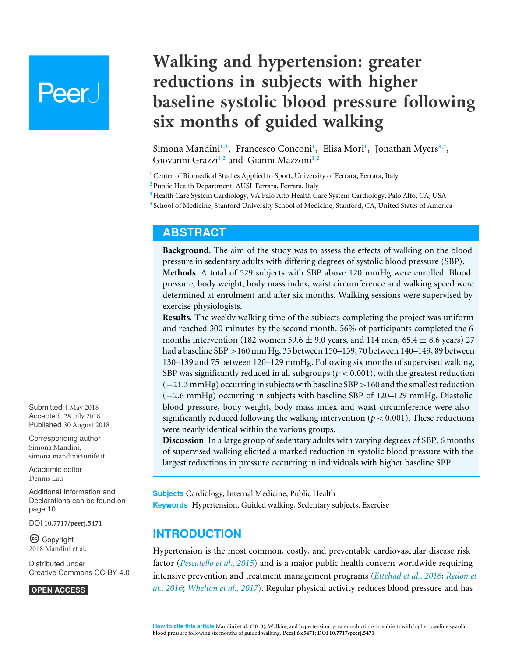# **Peer**

## **Walking and hypertension: greater reductions in subjects with higher baseline systolic blood pressure following six months of guided walking**

<span id="page-0-9"></span><span id="page-0-8"></span><span id="page-0-7"></span><span id="page-0-6"></span><span id="page-0-5"></span><span id="page-0-4"></span>Simona Mandini<sup>[1](#page-0-0),[2](#page-0-1)</sup>, Francesco Conconi<sup>1</sup>, Elisa Mori<sup>1</sup>, Jonathan Myers<sup>[3](#page-0-2),[4](#page-0-3)</sup>, Giovanni Grazzi**[1](#page-0-0)**,**[2](#page-0-1)** and Gianni Mazzoni**[1](#page-0-0)**,**[2](#page-0-1)**

<span id="page-0-0"></span><sup>1</sup> Center of Biomedical Studies Applied to Sport, University of Ferrara, Ferrara, Italy

<span id="page-0-1"></span>**<sup>2</sup>** Public Health Department, AUSL Ferrara, Ferrara, Italy

- <span id="page-0-2"></span>**<sup>3</sup>** Health Care System Cardiology, VA Palo Alto Health Care System Cardiology, Palo Alto, CA, USA
- <span id="page-0-3"></span>**4** School of Medicine, Stanford University School of Medicine, Stanford, CA, United States of America

## **ABSTRACT**

**Background**. The aim of the study was to assess the effects of walking on the blood pressure in sedentary adults with differing degrees of systolic blood pressure (SBP). **Methods**. A total of 529 subjects with SBP above 120 mmHg were enrolled. Blood pressure, body weight, body mass index, waist circumference and walking speed were determined at enrolment and after six months. Walking sessions were supervised by exercise physiologists.

**Results**. The weekly walking time of the subjects completing the project was uniform and reached 300 minutes by the second month. 56% of participants completed the 6 months intervention (182 women 59.6  $\pm$  9.0 years, and 114 men, 65.4  $\pm$  8.6 years) 27 had a baseline SBP >160 mm Hg, 35 between 150–159, 70 between 140–149, 89 between 130–139 and 75 between 120–129 mmHg. Following six months of supervised walking, SBP was significantly reduced in all subgroups ( $p < 0.001$ ), with the greatest reduction (−21.3 mmHg) occurring in subjects with baseline SBP>160 and the smallest reduction (−2.6 mmHg) occurring in subjects with baseline SBP of 120–129 mmHg. Diastolic blood pressure, body weight, body mass index and waist circumference were also significantly reduced following the walking intervention ( $p < 0.001$ ). These reductions were nearly identical within the various groups.

**Discussion**. In a large group of sedentary adults with varying degrees of SBP, 6 months of supervised walking elicited a marked reduction in systolic blood pressure with the largest reductions in pressure occurring in individuals with higher baseline SBP.

**Subjects** Cardiology, Internal Medicine, Public Health **Keywords** Hypertension, Guided walking, Sedentary subjects, Exercise

## **INTRODUCTION**

Hypertension is the most common, costly, and preventable cardiovascular disease risk factor (*[Pescatello et al., 2015](#page-11-0)*) and is a major public health concern worldwide requiring intensive prevention and treatment management programs (*[Ettehad et al., 2016](#page-10-0)*; *[Redon et](#page-11-1) [al., 2016](#page-11-1)*; *[Whelton et al., 2017](#page-12-0)*). Regular physical activity reduces blood pressure and has

Submitted 4 May 2018 Accepted 28 July 2018 Published 30 August 2018

Corresponding author Simona Mandini, [simona.mandini@unife.it](mailto:simona.mandini@unife.it)

[Academic editor](https://peerj.com/academic-boards/editors/) [Dennis Lau](https://peerj.com/academic-boards/editors/)

[Additional Information and](#page-9-0) [Declarations can be found on](#page-9-0) [page 10](#page-9-0)

DOI **[10.7717/peerj.5471](http://dx.doi.org/10.7717/peerj.5471)**

Copyright 2018 Mandini et al.

[Distributed under](http://creativecommons.org/licenses/by/4.0/) [Creative Commons CC-BY 4.0](http://creativecommons.org/licenses/by/4.0/)

**OPEN ACCESS**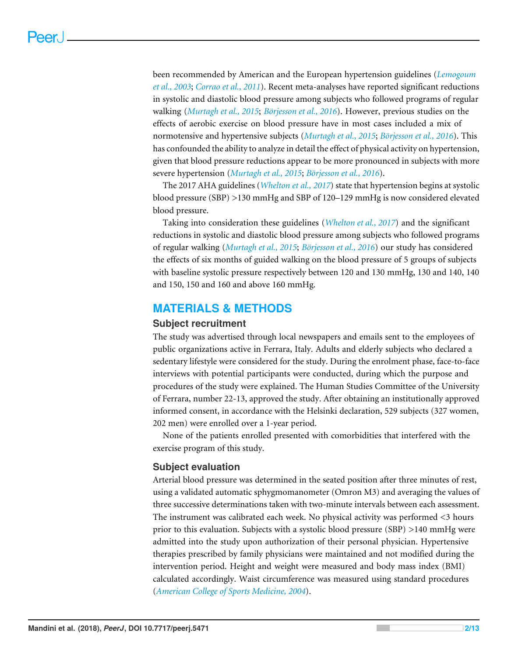been recommended by American and the European hypertension guidelines (*[Lemogoum](#page-10-1) [et al., 2003](#page-10-1)*; *[Corrao et al., 2011](#page-10-2)*). Recent meta-analyses have reported significant reductions in systolic and diastolic blood pressure among subjects who followed programs of regular walking (*[Murtagh et al., 2015](#page-11-2)*; *[Börjesson et al., 2016](#page-10-3)*). However, previous studies on the effects of aerobic exercise on blood pressure have in most cases included a mix of normotensive and hypertensive subjects (*[Murtagh et al., 2015](#page-11-2)*; *[Börjesson et al., 2016](#page-10-3)*). This has confounded the ability to analyze in detail the effect of physical activity on hypertension, given that blood pressure reductions appear to be more pronounced in subjects with more severe hypertension (*[Murtagh et al., 2015](#page-11-2)*; *[Börjesson et al., 2016](#page-10-3)*).

The 2017 AHA guidelines (*[Whelton et al., 2017](#page-12-0)*) state that hypertension begins at systolic blood pressure (SBP) >130 mmHg and SBP of 120–129 mmHg is now considered elevated blood pressure.

Taking into consideration these guidelines (*[Whelton et al., 2017](#page-12-0)*) and the significant reductions in systolic and diastolic blood pressure among subjects who followed programs of regular walking (*[Murtagh et al., 2015](#page-11-2)*; *[Börjesson et al., 2016](#page-10-3)*) our study has considered the effects of six months of guided walking on the blood pressure of 5 groups of subjects with baseline systolic pressure respectively between 120 and 130 mmHg, 130 and 140, 140 and 150, 150 and 160 and above 160 mmHg.

## **MATERIALS & METHODS**

## **Subject recruitment**

The study was advertised through local newspapers and emails sent to the employees of public organizations active in Ferrara, Italy. Adults and elderly subjects who declared a sedentary lifestyle were considered for the study. During the enrolment phase, face-to-face interviews with potential participants were conducted, during which the purpose and procedures of the study were explained. The Human Studies Committee of the University of Ferrara, number 22-13, approved the study. After obtaining an institutionally approved informed consent, in accordance with the Helsinki declaration, 529 subjects (327 women, 202 men) were enrolled over a 1-year period.

None of the patients enrolled presented with comorbidities that interfered with the exercise program of this study.

## **Subject evaluation**

Arterial blood pressure was determined in the seated position after three minutes of rest, using a validated automatic sphygmomanometer (Omron M3) and averaging the values of three successive determinations taken with two-minute intervals between each assessment. The instrument was calibrated each week. No physical activity was performed <3 hours prior to this evaluation. Subjects with a systolic blood pressure (SBP) >140 mmHg were admitted into the study upon authorization of their personal physician. Hypertensive therapies prescribed by family physicians were maintained and not modified during the intervention period. Height and weight were measured and body mass index (BMI) calculated accordingly. Waist circumference was measured using standard procedures (*[American College of Sports Medicine,](#page-9-1) [2004](#page-9-1)*).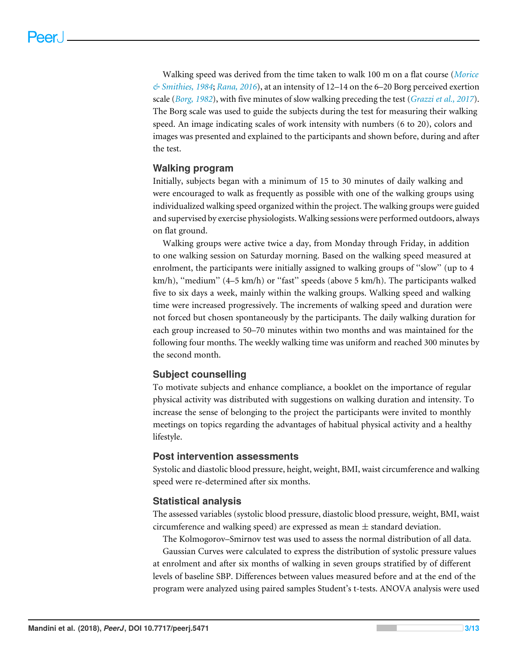Walking speed was derived from the time taken to walk 100 m on a flat course (*[Morice](#page-11-3) [& Smithies, 1984](#page-11-3)*; *[Rana, 2016](#page-11-4)*), at an intensity of 12–14 on the 6–20 Borg perceived exertion scale (*[Borg, 1982](#page-9-2)*), with five minutes of slow walking preceding the test (*[Grazzi et al.,](#page-10-4) [2017](#page-10-4)*). The Borg scale was used to guide the subjects during the test for measuring their walking speed. An image indicating scales of work intensity with numbers (6 to 20), colors and images was presented and explained to the participants and shown before, during and after the test.

## **Walking program**

Initially, subjects began with a minimum of 15 to 30 minutes of daily walking and were encouraged to walk as frequently as possible with one of the walking groups using individualized walking speed organized within the project. The walking groups were guided and supervised by exercise physiologists. Walking sessions were performed outdoors, always on flat ground.

Walking groups were active twice a day, from Monday through Friday, in addition to one walking session on Saturday morning. Based on the walking speed measured at enrolment, the participants were initially assigned to walking groups of ''slow'' (up to 4 km/h), ''medium'' (4–5 km/h) or ''fast'' speeds (above 5 km/h). The participants walked five to six days a week, mainly within the walking groups. Walking speed and walking time were increased progressively. The increments of walking speed and duration were not forced but chosen spontaneously by the participants. The daily walking duration for each group increased to 50–70 minutes within two months and was maintained for the following four months. The weekly walking time was uniform and reached 300 minutes by the second month.

## **Subject counselling**

To motivate subjects and enhance compliance, a booklet on the importance of regular physical activity was distributed with suggestions on walking duration and intensity. To increase the sense of belonging to the project the participants were invited to monthly meetings on topics regarding the advantages of habitual physical activity and a healthy lifestyle.

## **Post intervention assessments**

Systolic and diastolic blood pressure, height, weight, BMI, waist circumference and walking speed were re-determined after six months.

## **Statistical analysis**

The assessed variables (systolic blood pressure, diastolic blood pressure, weight, BMI, waist circumference and walking speed) are expressed as mean  $\pm$  standard deviation.

The Kolmogorov–Smirnov test was used to assess the normal distribution of all data.

Gaussian Curves were calculated to express the distribution of systolic pressure values at enrolment and after six months of walking in seven groups stratified by of different levels of baseline SBP. Differences between values measured before and at the end of the program were analyzed using paired samples Student's t-tests. ANOVA analysis were used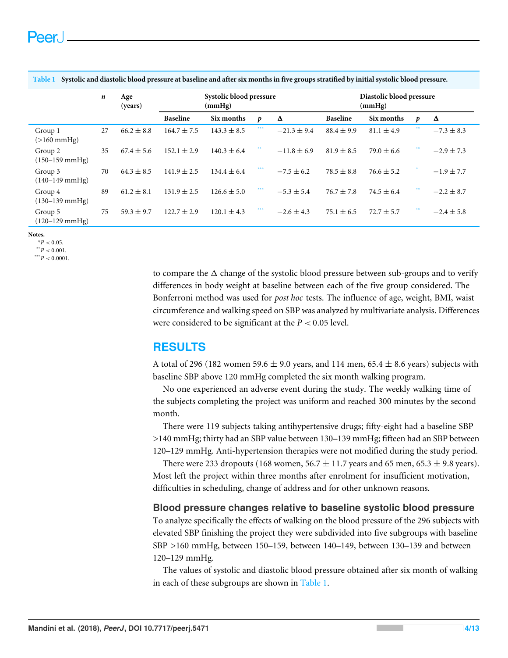|                                       | n  | Age<br>(years) | Systolic blood pressure<br>(mmHg) |                 |     |                 | Diastolic blood pressure<br>(mmHg) |                |    |                |
|---------------------------------------|----|----------------|-----------------------------------|-----------------|-----|-----------------|------------------------------------|----------------|----|----------------|
|                                       |    |                | <b>Baseline</b>                   | Six months      | p   | Δ               | <b>Baseline</b>                    | Six months     | p  | Δ              |
| Group 1<br>$(>160$ mmHg)              | 27 | $66.2 \pm 8.8$ | $164.7 \pm 7.5$                   | $143.3 \pm 8.5$ | *** | $-21.3 \pm 9.4$ | $88.4 \pm 9.9$                     | $81.1 \pm 4.9$ | ** | $-7.3 \pm 8.3$ |
| Group 2<br>$(150 - 159 \text{ mmHg})$ | 35 | $67.4 \pm 5.6$ | $152.1 \pm 2.9$                   | $140.3 \pm 6.4$ | 米米  | $-11.8 \pm 6.9$ | $81.9 \pm 8.5$                     | $79.0 \pm 6.6$ | ** | $-2.9 \pm 7.3$ |
| Group 3<br>$(140-149 \text{ mmHg})$   | 70 | $64.3 \pm 8.5$ | $141.9 \pm 2.5$                   | $134.4 \pm 6.4$ | *** | $-7.5 \pm 6.2$  | $78.5 \pm 8.8$                     | $76.6 \pm 5.2$ |    | $-1.9 \pm 7.7$ |
| Group 4<br>$(130-139 \text{ mmHg})$   | 89 | $61.2 \pm 8.1$ | $131.9 \pm 2.5$                   | $126.6 \pm 5.0$ | *** | $-5.3 \pm 5.4$  | $76.7 \pm 7.8$                     | $74.5 \pm 6.4$ | ** | $-2.2 \pm 8.7$ |
| Group 5<br>$(120 - 129 \text{ mmHg})$ | 75 | $59.3 \pm 9.7$ | $122.7 \pm 2.9$                   | $120.1 \pm 4.3$ | *** | $-2.6 \pm 4.3$  | $75.1 \pm 6.5$                     | $72.7 \pm 5.7$ | ** | $-2.4 \pm 5.8$ |

<span id="page-3-3"></span>**Table 1 Systolic and diastolic blood pressure at baseline and after six months in five groups stratified by initial systolic blood pressure.**

#### <span id="page-3-2"></span>**Notes.**

<span id="page-3-1"></span> $*P < 0.05$ .  $*$ <sup>\*</sup> $P$  < 0.001.

<span id="page-3-0"></span> $***^*P < 0.0001$ .

to compare the  $\Delta$  change of the systolic blood pressure between sub-groups and to verify differences in body weight at baseline between each of the five group considered. The Bonferroni method was used for *post hoc* tests. The influence of age, weight, BMI, waist circumference and walking speed on SBP was analyzed by multivariate analysis. Differences were considered to be significant at the *P* < 0.05 level.

## **RESULTS**

A total of 296 (182 women 59.6  $\pm$  9.0 years, and 114 men, 65.4  $\pm$  8.6 years) subjects with baseline SBP above 120 mmHg completed the six month walking program.

No one experienced an adverse event during the study. The weekly walking time of the subjects completing the project was uniform and reached 300 minutes by the second month.

There were 119 subjects taking antihypertensive drugs; fifty-eight had a baseline SBP >140 mmHg; thirty had an SBP value between 130–139 mmHg; fifteen had an SBP between 120–129 mmHg. Anti-hypertension therapies were not modified during the study period.

There were 233 dropouts (168 women, 56.7  $\pm$  11.7 years and 65 men, 65.3  $\pm$  9.8 years). Most left the project within three months after enrolment for insufficient motivation, difficulties in scheduling, change of address and for other unknown reasons.

## **Blood pressure changes relative to baseline systolic blood pressure**

To analyze specifically the effects of walking on the blood pressure of the 296 subjects with elevated SBP finishing the project they were subdivided into five subgroups with baseline SBP >160 mmHg, between 150–159, between 140–149, between 130–139 and between 120–129 mmHg.

The values of systolic and diastolic blood pressure obtained after six month of walking in each of these subgroups are shown in [Table 1.](#page-3-3)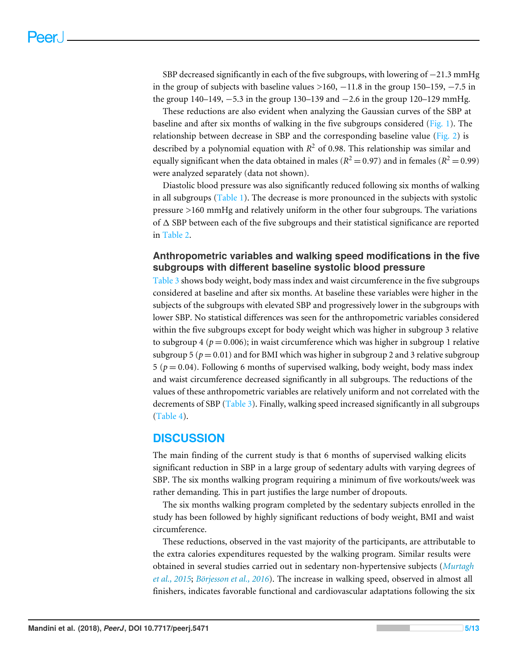SBP decreased significantly in each of the five subgroups, with lowering of  $-21.3$  mmHg in the group of subjects with baseline values  $>160$ ,  $-11.8$  in the group 150–159,  $-7.5$  in the group 140–149, −5.3 in the group 130–139 and −2.6 in the group 120–129 mmHg.

These reductions are also evident when analyzing the Gaussian curves of the SBP at baseline and after six months of walking in the five subgroups considered [\(Fig. 1\)](#page-5-0). The relationship between decrease in SBP and the corresponding baseline value [\(Fig. 2\)](#page-6-0) is described by a polynomial equation with *R* <sup>2</sup> of 0.98. This relationship was similar and equally significant when the data obtained in males ( $R^2 = 0.97$ ) and in females ( $R^2 = 0.99$ ) were analyzed separately (data not shown).

Diastolic blood pressure was also significantly reduced following six months of walking in all subgroups [\(Table 1\)](#page-3-3). The decrease is more pronounced in the subjects with systolic pressure >160 mmHg and relatively uniform in the other four subgroups. The variations of  $\Delta$  SBP between each of the five subgroups and their statistical significance are reported in [Table 2.](#page-7-0)

## **Anthropometric variables and walking speed modifications in the five subgroups with different baseline systolic blood pressure**

[Table 3](#page-7-1) shows body weight, body mass index and waist circumference in the five subgroups considered at baseline and after six months. At baseline these variables were higher in the subjects of the subgroups with elevated SBP and progressively lower in the subgroups with lower SBP. No statistical differences was seen for the anthropometric variables considered within the five subgroups except for body weight which was higher in subgroup 3 relative to subgroup 4 ( $p = 0.006$ ); in waist circumference which was higher in subgroup 1 relative subgroup 5 ( $p = 0.01$ ) and for BMI which was higher in subgroup 2 and 3 relative subgroup  $5 (p = 0.04)$ . Following 6 months of supervised walking, body weight, body mass index and waist circumference decreased significantly in all subgroups. The reductions of the values of these anthropometric variables are relatively uniform and not correlated with the decrements of SBP [\(Table 3\)](#page-7-1). Finally, walking speed increased significantly in all subgroups [\(Table 4\)](#page-8-0).

## **DISCUSSION**

The main finding of the current study is that 6 months of supervised walking elicits significant reduction in SBP in a large group of sedentary adults with varying degrees of SBP. The six months walking program requiring a minimum of five workouts/week was rather demanding. This in part justifies the large number of dropouts.

The six months walking program completed by the sedentary subjects enrolled in the study has been followed by highly significant reductions of body weight, BMI and waist circumference.

These reductions, observed in the vast majority of the participants, are attributable to the extra calories expenditures requested by the walking program. Similar results were obtained in several studies carried out in sedentary non-hypertensive subjects (*[Murtagh](#page-11-2) [et al., 2015](#page-11-2)*; *[Börjesson et al., 2016](#page-10-3)*). The increase in walking speed, observed in almost all finishers, indicates favorable functional and cardiovascular adaptations following the six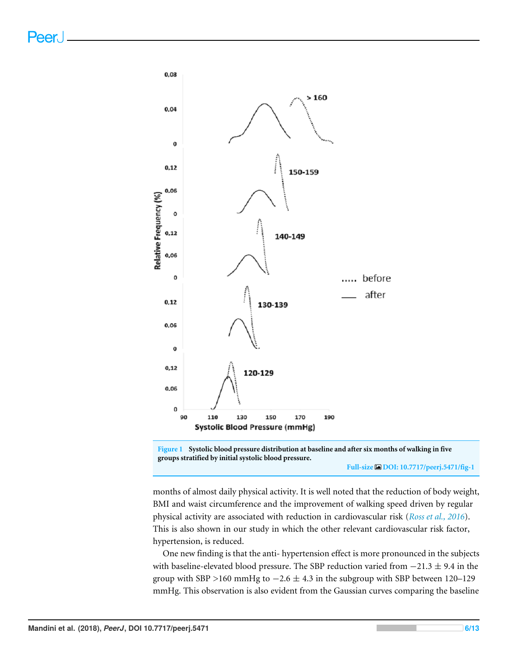<span id="page-5-0"></span>



**Full-size [DOI: 10.7717/peerj.5471/fig-1](https://doi.org/10.7717/peerj.5471/fig-1)**

months of almost daily physical activity. It is well noted that the reduction of body weight, BMI and waist circumference and the improvement of walking speed driven by regular physical activity are associated with reduction in cardiovascular risk (*[Ross et al., 2016](#page-11-5)*). This is also shown in our study in which the other relevant cardiovascular risk factor, hypertension, is reduced.

One new finding is that the anti- hypertension effect is more pronounced in the subjects with baseline-elevated blood pressure. The SBP reduction varied from  $-21.3 \pm 9.4$  in the group with SBP >160 mmHg to  $-2.6 \pm 4.3$  in the subgroup with SBP between 120–129 mmHg. This observation is also evident from the Gaussian curves comparing the baseline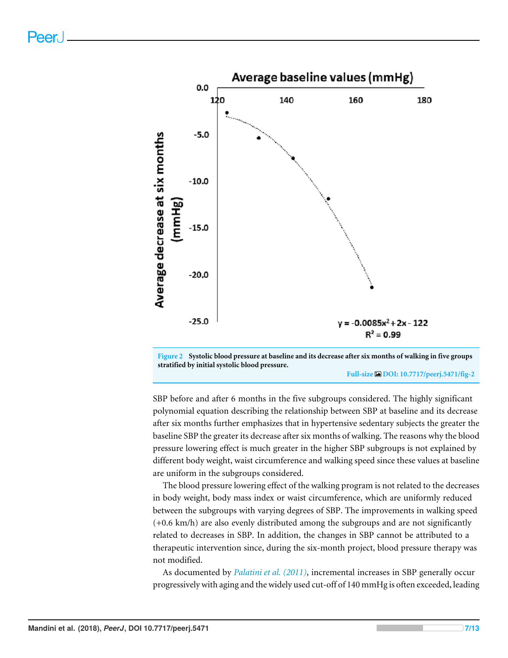<span id="page-6-0"></span>



**Full-size [DOI: 10.7717/peerj.5471/fig-2](https://doi.org/10.7717/peerj.5471/fig-2)**

SBP before and after 6 months in the five subgroups considered. The highly significant polynomial equation describing the relationship between SBP at baseline and its decrease after six months further emphasizes that in hypertensive sedentary subjects the greater the baseline SBP the greater its decrease after six months of walking. The reasons why the blood pressure lowering effect is much greater in the higher SBP subgroups is not explained by different body weight, waist circumference and walking speed since these values at baseline are uniform in the subgroups considered.

The blood pressure lowering effect of the walking program is not related to the decreases in body weight, body mass index or waist circumference, which are uniformly reduced between the subgroups with varying degrees of SBP. The improvements in walking speed (+0.6 km/h) are also evenly distributed among the subgroups and are not significantly related to decreases in SBP. In addition, the changes in SBP cannot be attributed to a therapeutic intervention since, during the six-month project, blood pressure therapy was not modified.

As documented by *[Palatini et al. \(2011\)](#page-11-6)*, incremental increases in SBP generally occur progressively with aging and the widely used cut-off of 140 mmHg is often exceeded, leading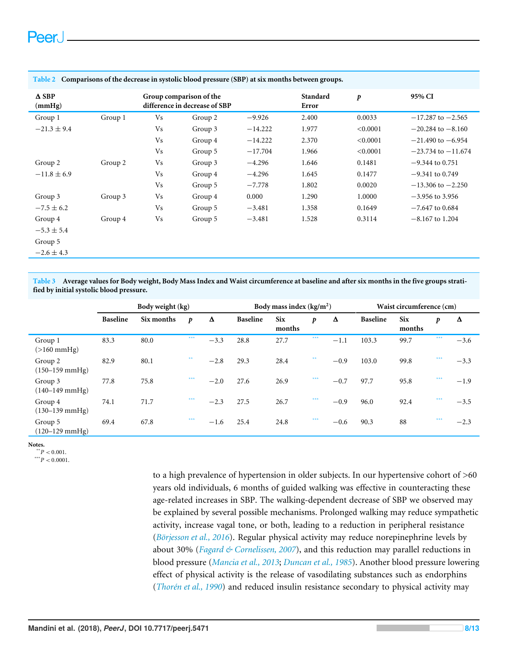| $\triangle$ SBP<br>(mmHg) |         |                | Group comparison of the<br>difference in decrease of SBP |           | Standard<br>Error | p        | 95% CI                 |
|---------------------------|---------|----------------|----------------------------------------------------------|-----------|-------------------|----------|------------------------|
| Group 1                   | Group 1 | V <sub>s</sub> | Group 2                                                  | $-9.926$  | 2.400             | 0.0033   | $-17.287$ to $-2.565$  |
| $-21.3 \pm 9.4$           |         | V <sub>s</sub> | Group 3                                                  | $-14.222$ | 1.977             | < 0.0001 | $-20.284$ to $-8.160$  |
|                           |         | V <sub>s</sub> | Group 4                                                  | $-14.222$ | 2.370             | < 0.0001 | $-21.490$ to $-6.954$  |
|                           |         | V <sub>s</sub> | Group 5                                                  | $-17.704$ | 1.966             | < 0.0001 | $-23.734$ to $-11.674$ |
| Group 2                   | Group 2 | V <sub>s</sub> | Group 3                                                  | $-4.296$  | 1.646             | 0.1481   | $-9.344$ to 0.751      |
| $-11.8 \pm 6.9$           |         | V <sub>s</sub> | Group 4                                                  | $-4.296$  | 1.645             | 0.1477   | $-9.341$ to 0.749      |
|                           |         | V <sub>s</sub> | Group 5                                                  | $-7.778$  | 1.802             | 0.0020   | $-13.306$ to $-2.250$  |
| Group 3                   | Group 3 | Vs             | Group 4                                                  | 0.000     | 1.290             | 1.0000   | $-3.956$ to 3.956      |
| $-7.5 \pm 6.2$            |         | V <sub>s</sub> | Group 5                                                  | $-3.481$  | 1.358             | 0.1649   | $-7.647$ to 0.684      |
| Group 4                   | Group 4 | Vs             | Group 5                                                  | $-3.481$  | 1.528             | 0.3114   | $-8.167$ to 1.204      |
| $-5.3 \pm 5.4$            |         |                |                                                          |           |                   |          |                        |
| Group 5                   |         |                |                                                          |           |                   |          |                        |
| $-2.6 \pm 4.3$            |         |                |                                                          |           |                   |          |                        |

#### <span id="page-7-0"></span>**Table 2 Comparisons of the decrease in systolic blood pressure (SBP) at six months between groups.**

<span id="page-7-1"></span>**Table 3 Average values for Body weight, Body Mass Index and Waist circumference at baseline and after six months in the five groups stratified by initial systolic blood pressure.**

|                                       | Body weight (kg) |            |                  |        | Body mass index $(kg/m2)$ |                      |     | Waist circumference (cm) |                 |                      |     |        |
|---------------------------------------|------------------|------------|------------------|--------|---------------------------|----------------------|-----|--------------------------|-----------------|----------------------|-----|--------|
|                                       | <b>Baseline</b>  | Six months | $\boldsymbol{p}$ | Δ      | <b>Baseline</b>           | <b>Six</b><br>months | p   | Δ                        | <b>Baseline</b> | <b>Six</b><br>months | p   | Δ      |
| Group 1<br>$(>160$ mmHg)              | 83.3             | 80.0       | ***              | $-3.3$ | 28.8                      | 27.7                 | *** | $-1.1$                   | 103.3           | 99.7                 | *** | $-3.6$ |
| Group 2<br>$(150 - 159 \text{ mmHg})$ | 82.9             | 80.1       | **               | $-2.8$ | 29.3                      | 28.4                 | **  | $-0.9$                   | 103.0           | 99.8                 | *** | $-3.3$ |
| Group 3<br>$(140 - 149 \text{ mmHg})$ | 77.8             | 75.8       | ***              | $-2.0$ | 27.6                      | 26.9                 | *** | $-0.7$                   | 97.7            | 95.8                 | *** | $-1.9$ |
| Group 4<br>$(130 - 139 \text{ mmHg})$ | 74.1             | 71.7       | ***              | $-2.3$ | 27.5                      | 26.7                 | *** | $-0.9$                   | 96.0            | 92.4                 | *** | $-3.5$ |
| Group 5<br>$(120 - 129$ mmHg)         | 69.4             | 67.8       | ***              | $-1.6$ | 25.4                      | 24.8                 | *** | $-0.6$                   | 90.3            | 88                   | *** | $-2.3$ |

<span id="page-7-3"></span>**Notes.**

 $*$ <sup>\*</sup> $P$  < 0.001.

<span id="page-7-2"></span> $***$ <sup>\*\*\*</sup>*P* < 0.0001.

to a high prevalence of hypertension in older subjects. In our hypertensive cohort of >60 years old individuals, 6 months of guided walking was effective in counteracting these age-related increases in SBP. The walking-dependent decrease of SBP we observed may be explained by several possible mechanisms. Prolonged walking may reduce sympathetic activity, increase vagal tone, or both, leading to a reduction in peripheral resistance (*[Börjesson et al., 2016](#page-10-3)*). Regular physical activity may reduce norepinephrine levels by about 30% (*[Fagard & Cornelissen, 2007](#page-10-5)*), and this reduction may parallel reductions in blood pressure (*[Mancia et al., 2013](#page-10-6)*; *[Duncan et al., 1985](#page-10-7)*). Another blood pressure lowering effect of physical activity is the release of vasodilating substances such as endorphins (*[Thorén et al., 1990](#page-12-1)*) and reduced insulin resistance secondary to physical activity may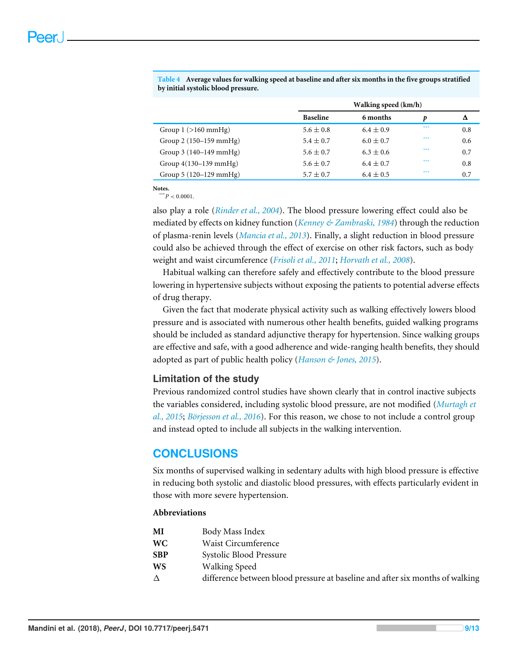|                                 |                 | Walking speed (km/h) |     |     |  |  |  |  |  |
|---------------------------------|-----------------|----------------------|-----|-----|--|--|--|--|--|
|                                 | <b>Baseline</b> | 6 months             | p   | Δ   |  |  |  |  |  |
| Group $1$ ( $>160$ mmHg)        | $5.6 \pm 0.8$   | $6.4 \pm 0.9$        | *** | 0.8 |  |  |  |  |  |
| Group $2(150-159 \text{ mmHg})$ | $5.4 \pm 0.7$   | $6.0 \pm 0.7$        | *** | 0.6 |  |  |  |  |  |
| Group $3(140-149 \text{ mmHg})$ | $5.6 \pm 0.7$   | $6.3 \pm 0.6$        | *** | 0.7 |  |  |  |  |  |
| Group $4(130-139 \text{ mmHg})$ | $5.6 \pm 0.7$   | $6.4 \pm 0.7$        | *** | 0.8 |  |  |  |  |  |
| Group 5 (120–129 mmHg)          | $5.7 \pm 0.7$   | $6.4 \pm 0.5$        | *** | 0.7 |  |  |  |  |  |

<span id="page-8-0"></span>**Table 4 Average values for walking speed at baseline and after six months in the five groups stratified by initial systolic blood pressure.**

<span id="page-8-1"></span>**Notes.**  $***^*P < 0.0001$ .

also play a role (*[Rinder et al., 2004](#page-11-7)*). The blood pressure lowering effect could also be mediated by effects on kidney function (*[Kenney & Zambraski, 1984](#page-10-8)*) through the reduction of plasma-renin levels (*[Mancia et al., 2013](#page-10-6)*). Finally, a slight reduction in blood pressure could also be achieved through the effect of exercise on other risk factors, such as body weight and waist circumference (*[Frisoli et al., 2011](#page-10-9)*; *[Horvath et al., 2008](#page-10-10)*).

Habitual walking can therefore safely and effectively contribute to the blood pressure lowering in hypertensive subjects without exposing the patients to potential adverse effects of drug therapy.

Given the fact that moderate physical activity such as walking effectively lowers blood pressure and is associated with numerous other health benefits, guided walking programs should be included as standard adjunctive therapy for hypertension. Since walking groups are effective and safe, with a good adherence and wide-ranging health benefits, they should adopted as part of public health policy (*[Hanson & Jones, 2015](#page-10-11)*).

## **Limitation of the study**

Previous randomized control studies have shown clearly that in control inactive subjects the variables considered, including systolic blood pressure, are not modified (*[Murtagh et](#page-11-2) [al., 2015](#page-11-2)*; *[Börjesson et al., 2016](#page-10-3)*). For this reason, we chose to not include a control group and instead opted to include all subjects in the walking intervention.

## **CONCLUSIONS**

Six months of supervised walking in sedentary adults with high blood pressure is effective in reducing both systolic and diastolic blood pressures, with effects particularly evident in those with more severe hypertension.

## **Abbreviations**

| difference between blood pressure at baseline and after six months of walking |
|-------------------------------------------------------------------------------|
|                                                                               |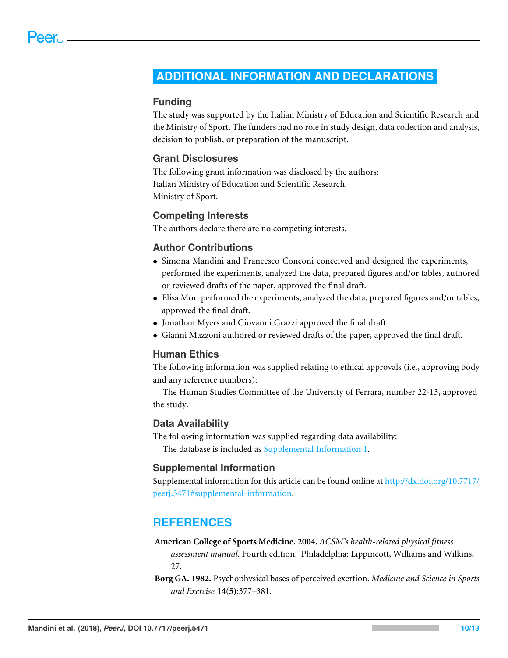## <span id="page-9-0"></span>**ADDITIONAL INFORMATION AND DECLARATIONS**

## **Funding**

The study was supported by the Italian Ministry of Education and Scientific Research and the Ministry of Sport. The funders had no role in study design, data collection and analysis, decision to publish, or preparation of the manuscript.

## **Grant Disclosures**

The following grant information was disclosed by the authors: Italian Ministry of Education and Scientific Research. Ministry of Sport.

## **Competing Interests**

The authors declare there are no competing interests.

## **Author Contributions**

- [Simona Mandini](#page-0-4) and [Francesco Conconi](#page-0-5) conceived and designed the experiments, performed the experiments, analyzed the data, prepared figures and/or tables, authored or reviewed drafts of the paper, approved the final draft.
- [Elisa Mori](#page-0-6) performed the experiments, analyzed the data, prepared figures and/or tables, approved the final draft.
- [Jonathan Myers](#page-0-7) and [Giovanni Grazzi](#page-0-8) approved the final draft.
- [Gianni Mazzoni](#page-0-9) authored or reviewed drafts of the paper, approved the final draft.

## **Human Ethics**

The following information was supplied relating to ethical approvals (i.e., approving body and any reference numbers):

The Human Studies Committee of the University of Ferrara, number 22-13, approved the study.

## **Data Availability**

The following information was supplied regarding data availability: The database is included as [Supplemental Information 1.](http://dx.doi.org/10.7717/peerj.5471#supp-1)

## **Supplemental Information**

Supplemental information for this article can be found online at [http://dx.doi.org/10.7717/](http://dx.doi.org/10.7717/peerj.5471#supplemental-information) [peerj.5471#supplemental-information.](http://dx.doi.org/10.7717/peerj.5471#supplemental-information)

## **REFERENCES**

### <span id="page-9-1"></span>**American College of Sports Medicine. 2004.** *ACSM's health-related physical fitness*

*assessment manual*. Fourth edition. Philadelphia: Lippincott, Williams and Wilkins, 27.

<span id="page-9-2"></span>**Borg GA. 1982.** Psychophysical bases of perceived exertion. *Medicine and Science in Sports and Exercise* **14(5)**:377–381.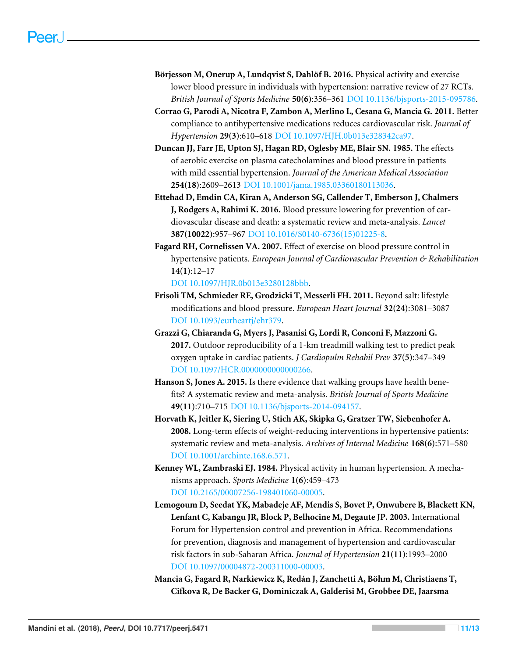- <span id="page-10-3"></span>**Börjesson M, Onerup A, Lundqvist S, Dahlöf B. 2016.** Physical activity and exercise lower blood pressure in individuals with hypertension: narrative review of 27 RCTs. *British Journal of Sports Medicine* **50(6)**:356–361 [DOI 10.1136/bjsports-2015-095786.](http://dx.doi.org/10.1136/bjsports-2015-095786)
- <span id="page-10-2"></span>**Corrao G, Parodi A, Nicotra F, Zambon A, Merlino L, Cesana G, Mancia G. 2011.** Better compliance to antihypertensive medications reduces cardiovascular risk. *Journal of Hypertension* **29(3)**:610–618 [DOI 10.1097/HJH.0b013e328342ca97.](http://dx.doi.org/10.1097/HJH.0b013e328342ca97)
- <span id="page-10-7"></span>**Duncan JJ, Farr JE, Upton SJ, Hagan RD, Oglesby ME, Blair SN. 1985.** The effects of aerobic exercise on plasma catecholamines and blood pressure in patients with mild essential hypertension. *Journal of the American Medical Association* **254(18)**:2609–2613 [DOI 10.1001/jama.1985.03360180113036.](http://dx.doi.org/10.1001/jama.1985.03360180113036)
- <span id="page-10-0"></span>**Ettehad D, Emdin CA, Kiran A, Anderson SG, Callender T, Emberson J, Chalmers J, Rodgers A, Rahimi K. 2016.** Blood pressure lowering for prevention of cardiovascular disease and death: a systematic review and meta-analysis. *Lancet* **387(10022)**:957–967 [DOI 10.1016/S0140-6736\(15\)01225-8.](http://dx.doi.org/10.1016/S0140-6736(15)01225-8)
- <span id="page-10-5"></span>**Fagard RH, Cornelissen VA. 2007.** Effect of exercise on blood pressure control in hypertensive patients. *European Journal of Cardiovascular Prevention & Rehabilitation* **14(1)**:12–17

[DOI 10.1097/HJR.0b013e3280128bbb.](http://dx.doi.org/10.1097/HJR.0b013e3280128bbb)

- <span id="page-10-9"></span>**Frisoli TM, Schmieder RE, Grodzicki T, Messerli FH. 2011.** Beyond salt: lifestyle modifications and blood pressure. *European Heart Journal* **32(24)**:3081–3087 [DOI 10.1093/eurheartj/ehr379.](http://dx.doi.org/10.1093/eurheartj/ehr379)
- <span id="page-10-4"></span>**Grazzi G, Chiaranda G, Myers J, Pasanisi G, Lordi R, Conconi F, Mazzoni G. 2017.** Outdoor reproducibility of a 1-km treadmill walking test to predict peak oxygen uptake in cardiac patients. *J Cardiopulm Rehabil Prev* **37(5)**:347–349 [DOI 10.1097/HCR.0000000000000266.](http://dx.doi.org/10.1097/HCR.0000000000000266)
- <span id="page-10-11"></span>**Hanson S, Jones A. 2015.** Is there evidence that walking groups have health benefits? A systematic review and meta-analysis. *British Journal of Sports Medicine* **49(11)**:710–715 [DOI 10.1136/bjsports-2014-094157.](http://dx.doi.org/10.1136/bjsports-2014-094157)
- <span id="page-10-10"></span>**Horvath K, Jeitler K, Siering U, Stich AK, Skipka G, Gratzer TW, Siebenhofer A. 2008.** Long-term effects of weight-reducing interventions in hypertensive patients: systematic review and meta-analysis. *Archives of Internal Medicine* **168(6)**:571–580 [DOI 10.1001/archinte.168.6.571.](http://dx.doi.org/10.1001/archinte.168.6.571)
- <span id="page-10-8"></span>**Kenney WL, Zambraski EJ. 1984.** Physical activity in human hypertension. A mechanisms approach. *Sports Medicine* **1(6)**:459–473 [DOI 10.2165/00007256-198401060-00005.](http://dx.doi.org/10.2165/00007256-198401060-00005)
- <span id="page-10-1"></span>**Lemogoum D, Seedat YK, Mabadeje AF, Mendis S, Bovet P, Onwubere B, Blackett KN, Lenfant C, Kabangu JR, Block P, Belhocine M, Degaute JP. 2003.** International Forum for Hypertension control and prevention in Africa. Recommendations for prevention, diagnosis and management of hypertension and cardiovascular risk factors in sub-Saharan Africa. *Journal of Hypertension* **21(11)**:1993–2000 [DOI 10.1097/00004872-200311000-00003.](http://dx.doi.org/10.1097/00004872-200311000-00003)
- <span id="page-10-6"></span>**Mancia G, Fagard R, Narkiewicz K, Redán J, Zanchetti A, Böhm M, Christiaens T, Cifkova R, De Backer G, Dominiczak A, Galderisi M, Grobbee DE, Jaarsma**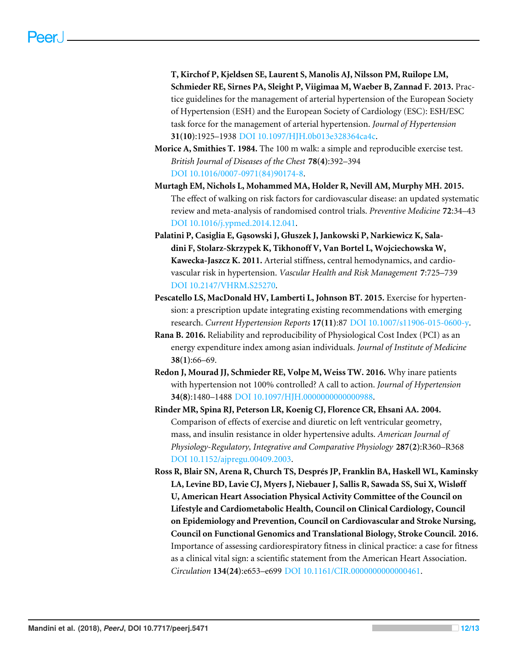**T, Kirchof P, Kjeldsen SE, Laurent S, Manolis AJ, Nilsson PM, Ruilope LM, Schmieder RE, Sirnes PA, Sleight P, Viigimaa M, Waeber B, Zannad F. 2013.** Practice guidelines for the management of arterial hypertension of the European Society of Hypertension (ESH) and the European Society of Cardiology (ESC): ESH/ESC task force for the management of arterial hypertension. *Journal of Hypertension* **31(10)**:1925–1938 [DOI 10.1097/HJH.0b013e328364ca4c.](http://dx.doi.org/10.1097/HJH.0b013e328364ca4c)

- <span id="page-11-3"></span>**Morice A, Smithies T. 1984.** The 100 m walk: a simple and reproducible exercise test. *British Journal of Diseases of the Chest* **78(4)**:392–394 [DOI 10.1016/0007-0971\(84\)90174-8.](http://dx.doi.org/10.1016/0007-0971(84)90174-8)
- <span id="page-11-2"></span>**Murtagh EM, Nichols L, Mohammed MA, Holder R, Nevill AM, Murphy MH. 2015.** The effect of walking on risk factors for cardiovascular disease: an updated systematic review and meta-analysis of randomised control trials. *Preventive Medicine* **72**:34–43 [DOI 10.1016/j.ypmed.2014.12.041.](http://dx.doi.org/10.1016/j.ypmed.2014.12.041)
- <span id="page-11-6"></span>**Palatini P, Casiglia E, Gąsowski J, Głuszek J, Jankowski P, Narkiewicz K, Saladini F, Stolarz-Skrzypek K, Tikhonoff V, Van Bortel L, Wojciechowska W, Kawecka-Jaszcz K. 2011.** Arterial stiffness, central hemodynamics, and cardiovascular risk in hypertension. *Vascular Health and Risk Management* **7**:725–739 [DOI 10.2147/VHRM.S25270.](http://dx.doi.org/10.2147/VHRM.S25270)
- <span id="page-11-0"></span>**Pescatello LS, MacDonald HV, Lamberti L, Johnson BT. 2015.** Exercise for hypertension: a prescription update integrating existing recommendations with emerging research. *Current Hypertension Reports* **17(11)**:87 [DOI 10.1007/s11906-015-0600-y.](http://dx.doi.org/10.1007/s11906-015-0600-y)
- <span id="page-11-4"></span>**Rana B. 2016.** Reliability and reproducibility of Physiological Cost Index (PCI) as an energy expenditure index among asian individuals. *Journal of Institute of Medicine* **38(1)**:66–69.
- <span id="page-11-1"></span>**Redon J, Mourad JJ, Schmieder RE, Volpe M, Weiss TW. 2016.** Why inare patients with hypertension not 100% controlled? A call to action. *Journal of Hypertension* **34(8)**:1480–1488 [DOI 10.1097/HJH.0000000000000988.](http://dx.doi.org/10.1097/HJH.0000000000000988)
- <span id="page-11-7"></span>**Rinder MR, Spina RJ, Peterson LR, Koenig CJ, Florence CR, Ehsani AA. 2004.** Comparison of effects of exercise and diuretic on left ventricular geometry, mass, and insulin resistance in older hypertensive adults. *American Journal of Physiology-Regulatory, Integrative and Comparative Physiology* **287(2)**:R360–R368 [DOI 10.1152/ajpregu.00409.2003.](http://dx.doi.org/10.1152/ajpregu.00409.2003)
- <span id="page-11-5"></span>**Ross R, Blair SN, Arena R, Church TS, Després JP, Franklin BA, Haskell WL, Kaminsky LA, Levine BD, Lavie CJ, Myers J, Niebauer J, Sallis R, Sawada SS, Sui X, Wisløff U, American Heart Association Physical Activity Committee of the Council on Lifestyle and Cardiometabolic Health, Council on Clinical Cardiology, Council on Epidemiology and Prevention, Council on Cardiovascular and Stroke Nursing, Council on Functional Genomics and Translational Biology, Stroke Council. 2016.** Importance of assessing cardiorespiratory fitness in clinical practice: a case for fitness as a clinical vital sign: a scientific statement from the American Heart Association. *Circulation* **134(24)**:e653–e699 [DOI 10.1161/CIR.0000000000000461.](http://dx.doi.org/10.1161/CIR.0000000000000461)